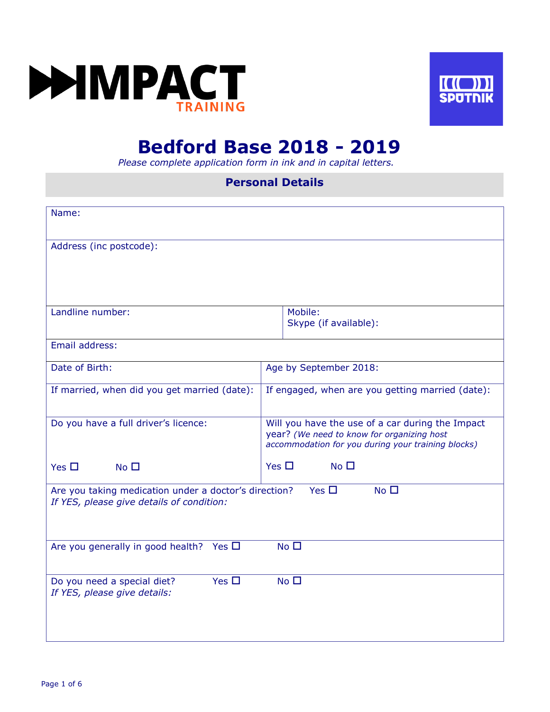



# **Bedford Base 2018 - 2019**

*Please complete application form in ink and in capital letters.* 

### **Personal Details**

| Name:                                                                                                                               |                                                                                                                                                      |  |  |  |
|-------------------------------------------------------------------------------------------------------------------------------------|------------------------------------------------------------------------------------------------------------------------------------------------------|--|--|--|
| Address (inc postcode):                                                                                                             |                                                                                                                                                      |  |  |  |
|                                                                                                                                     |                                                                                                                                                      |  |  |  |
| Landline number:                                                                                                                    | Mobile:<br>Skype (if available):                                                                                                                     |  |  |  |
| Email address:                                                                                                                      |                                                                                                                                                      |  |  |  |
| Date of Birth:                                                                                                                      | Age by September 2018:                                                                                                                               |  |  |  |
| If married, when did you get married (date):                                                                                        | If engaged, when are you getting married (date):                                                                                                     |  |  |  |
| Do you have a full driver's licence:                                                                                                | Will you have the use of a car during the Impact<br>year? (We need to know for organizing host<br>accommodation for you during your training blocks) |  |  |  |
| No <sub>1</sub><br>Yes $\Box$                                                                                                       | No <sub>1</sub><br>Yes $\Box$                                                                                                                        |  |  |  |
| No <sub>1</sub><br>Yes $\Box$<br>Are you taking medication under a doctor's direction?<br>If YES, please give details of condition: |                                                                                                                                                      |  |  |  |
| Are you generally in good health? Yes $\square$                                                                                     | No <sub>1</sub>                                                                                                                                      |  |  |  |
| Yes $\Box$<br>Do you need a special diet?<br>If YES, please give details:                                                           | No <sub>1</sub>                                                                                                                                      |  |  |  |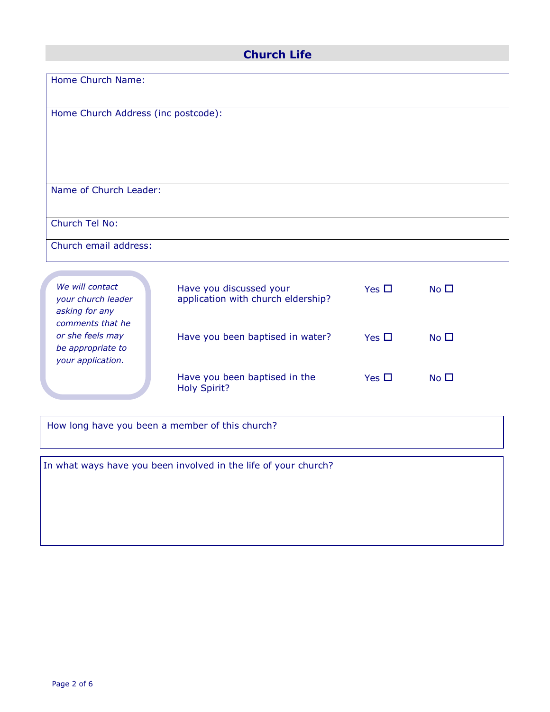## **Church Life**

| Home Church Name:                   |                         |           |             |
|-------------------------------------|-------------------------|-----------|-------------|
|                                     |                         |           |             |
|                                     |                         |           |             |
|                                     |                         |           |             |
| Home Church Address (inc postcode): |                         |           |             |
|                                     |                         |           |             |
|                                     |                         |           |             |
|                                     |                         |           |             |
|                                     |                         |           |             |
|                                     |                         |           |             |
|                                     |                         |           |             |
|                                     |                         |           |             |
|                                     |                         |           |             |
| Name of Church Leader:              |                         |           |             |
|                                     |                         |           |             |
|                                     |                         |           |             |
|                                     |                         |           |             |
| Church Tel No:                      |                         |           |             |
|                                     |                         |           |             |
|                                     |                         |           |             |
| Church email address:               |                         |           |             |
|                                     |                         |           |             |
|                                     |                         |           |             |
|                                     |                         |           |             |
|                                     |                         |           |             |
| We will contact                     | Have you discussed your | Yes $\Pi$ | $N0$ $\Box$ |

| We will contact<br>your church leader<br>asking for any                        | Have you discussed your<br>application with church eldership? | Yes $\Box$ | No $\square$ |  |
|--------------------------------------------------------------------------------|---------------------------------------------------------------|------------|--------------|--|
| comments that he<br>or she feels may<br>be appropriate to<br>your application. | Have you been baptised in water?                              | Yes □      | No $\Box$    |  |
|                                                                                | Have you been baptised in the<br><b>Holy Spirit?</b>          | Yes □      | No $\Box$    |  |

How long have you been a member of this church?

In what ways have you been involved in the life of your church?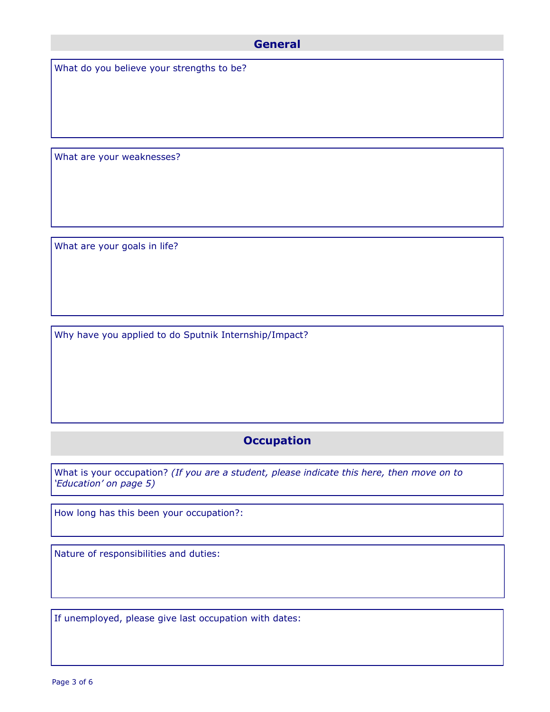## **General**

What do you believe your strengths to be?

What are your weaknesses?

What are your goals in life?

Why have you applied to do Sputnik Internship/Impact?

## **Occupation**

What is your occupation? *(If you are a student, please indicate this here, then move on to 'Education' on page 5)*

How long has this been your occupation?:

Nature of responsibilities and duties:

If unemployed, please give last occupation with dates: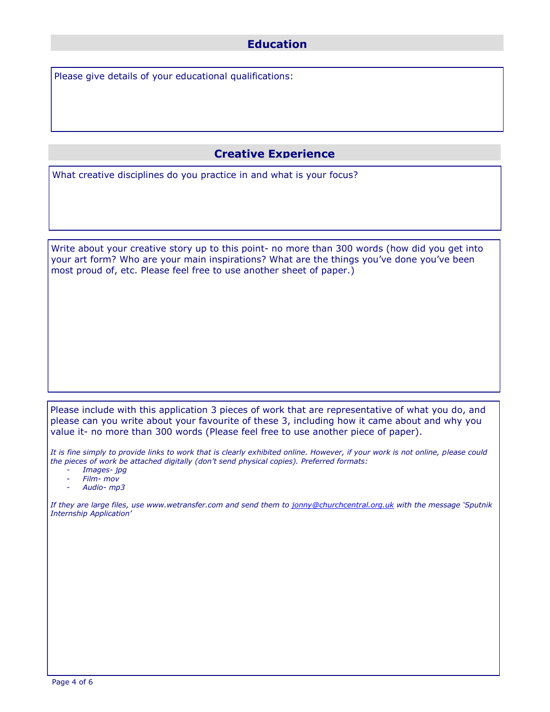#### **Education**

Please give details of your educational qualifications:

#### **Creative Experience**

What creative disciplines do you practice in and what is your focus?

Write about your creative story up to this point- no more than 300 words (how did you get into your art form? Who are your main inspirations? What are the things you've done you've been most proud of, etc. Please feel free to use another sheet of paper.)

Please include with this application 3 pieces of work that are representative of what you do, and please can you write about your favourite of these 3, including how it came about and why you value it- no more than 300 words (Please feel free to use another piece of paper).

*It is fine simply to provide links to work that is clearly exhibited online. However, if your work is not online, please could the pieces of work be attached digitally (don't send physical copies). Preferred formats:*

- *Images- jpg*
- *Film- mov*
- *Audio- mp3*

*If they are large files, use www.wetransfer.com and send them to [jonny@churchcentral.org.uk](mailto:jonny@churchcentral.org.uk) with the message 'Sputnik Internship Application'*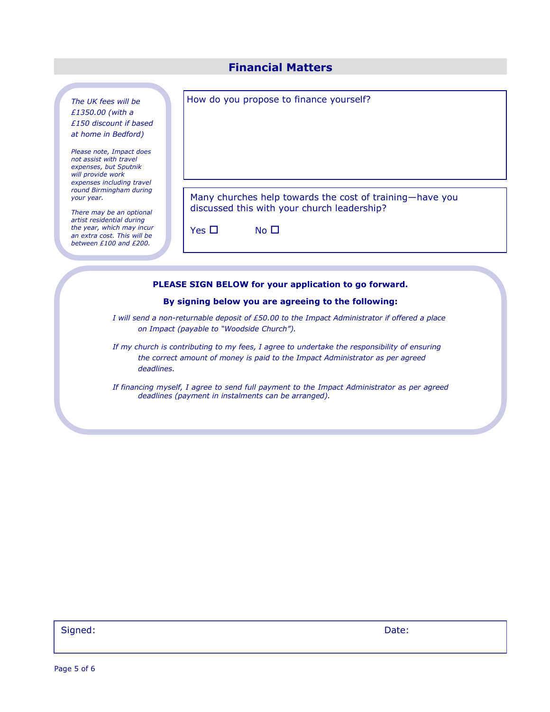#### **Financial Matters**

*The UK fees will be £1350.00 (with a £150 discount if based at home in Bedford)*

*Please note, Impact does not assist with travel expenses, but Sputnik will provide work expenses including travel round Birmingham during your year.*

*There may be an optional artist residential during the year, which may incur an extra cost. This will be between £100 and £200.*

How do you propose to finance yourself?

Many churches help towards the cost of training—have you discussed this with your church leadership?

 $Yes \Box$  No  $\Box$ 

#### **PLEASE SIGN BELOW for your application to go forward.**

#### **By signing below you are agreeing to the following:**

*I will send a non-returnable deposit of £50.00 to the Impact Administrator if offered a place on Impact (payable to "Woodside Church").*

*If my church is contributing to my fees, I agree to undertake the responsibility of ensuring the correct amount of money is paid to the Impact Administrator as per agreed deadlines.*

*If financing myself, I agree to send full payment to the Impact Administrator as per agreed deadlines (payment in instalments can be arranged).*

Signed: Date: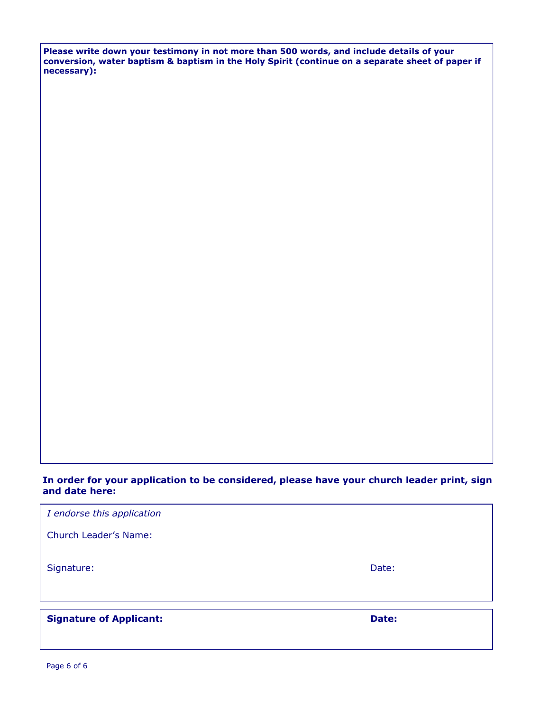**Please write down your testimony in not more than 500 words, and include details of your conversion, water baptism & baptism in the Holy Spirit (continue on a separate sheet of paper if necessary):**

#### **In order for your application to be considered, please have your church leader print, sign and date here:**

| <b>Signature of Applicant:</b> | Date: |
|--------------------------------|-------|
|                                |       |
| Signature:                     | Date: |
| <b>Church Leader's Name:</b>   |       |
| I endorse this application     |       |